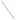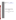**United States Office of Policy, Economics EPA 233-B-03-002 Environmental and Innovation**<br>*http://www.epa.gov/policy2***<br>***http://www.epa.gov/policy2* **Agency**

http://www.epa.gov/policy2003/policy2003.pdf

 **Public Involvement Policy**

# **of the**

U.S. Environmental Protection Agency

May 2003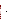# **Disclaimer**

The statutory provisions described in this Public Involvement Policy contain legally binding requirements. As indicated by the use of nonmandatory language such as "may," "should," and "can," this Policy describes recommended procedures and approaches for conducting public involvement. It is a policy, not a rule, and is not legally enforceable.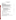# **Public Involvement Policy Table of Contents**

# **Public Involvement Policy**

| <b>Introduction</b>                                                 | 1.             |
|---------------------------------------------------------------------|----------------|
| <b>What is Public Involvement?</b>                                  | 1              |
| What are the Purposes, Goals and Objectives of This Policy?         | 1              |
| <b>When does This Policy Apply?</b>                                 | 3              |
| Does This Policy Affect Authorized, Approved or Delegated Programs? | $\overline{4}$ |
| What are the Roles of States, Tribes and Local Governments?         | $\overline{4}$ |
| How does the Policy Relate to Environmental Justice?                | 5              |
| <b>EPA's Seven Basic Steps for Effective Public Involvement</b>     | 5              |
| Who is Responsible for Managing the Application of This Policy?     | 6              |

# **Appendices**

| Appendix 1 - Guidance for Implementing Public Involvement at EPA                   | $\overline{7}$ |
|------------------------------------------------------------------------------------|----------------|
| 1. Plan and budget for public involvement                                          | 7              |
| 2. Identify the interested and affected public                                     | 8              |
| 3. Consider providing technical or financial assistance                            | 9              |
| 4. Provide information and outreach                                                | 11             |
| 5. Conduct public consultation and involvement activities                          | 14             |
| 6. Review and use input, and provide feedback to the public                        | 19             |
| 7. Evaluate public involvement activities                                          | 20             |
| Who manages the application of this Policy?                                        | 20             |
|                                                                                    |                |
| <b>Appendix 2: Definitions</b>                                                     | 23             |
| Appendix 3: Examples of EPA's Public Involvement Regulations                       | 24             |
| <b>Appendix 4: Advisory Committees</b>                                             | 25             |
| <u>Addenda</u>                                                                     |                |
| <b>Addendum 1: Tools to Support Public Involvement</b>                             | 27             |
| <b>Addendum 2: Summary of Response to Comments</b>                                 | 29             |
| Published Federal Register material not duplicated in the Public Involvement<br>31 |                |

**Policy, its Appendices and Addenda**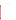This page left blank intentionally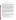#### **EPA's PUBLIC INVOLVEMENT POLICY** (Final May 2003)

#### **Introduction**

EPA's mission is to protect human health and the environment. To achieve that mission, EPA needs to continue to integrate, in a meaningful way, the knowledge and opinions of others into its decision-making processes. Effective public involvement can both improve the content of the Agency's decisions and enhance the deliberative process. Public involvement also promotes democracy and civic engagement, and builds public trust in government.

EPA has long been committed to public involvement. The fundamental premise of this Policy is that EPA should continue to provide for meaningful public involvement in all its programs, and consistently look for new ways to enhance public input. EPA staff and managers should seek input reflecting all points of view and should carefully consider this input when making decisions. They also should work to ensure that decision-making processes are open and accessible to all interested groups, including those with limited financial and technical resources, English proficiency, and/or past experience participating in environmental decision-making. Such openness to the public increases EPA's credibility, improves the Agency's decision-making processes, and informs its final decisions. At the same time, EPA should not accept any recommendation or proposal without careful, critical examination.

This Policy supplements, but does not amend, existing EPA regulations that prescribe specific public participation requirements applicable to EPA's activities under specific statutes, such as those found at 40 CFR Part 25 "Public Participation in Programs Under the Resource Conservation and Recovery Act, the Safe Drinking Water Act, and the Clean Water Act." (*See* 40 CFR Part 25, which can be found at http://www.epa.gov/publicinvolvement/pdf/part25.pdf.) The public participation requirements contained in such regulations specify the minimum required level of public participation. (A partial listing of existing public participation regulatory requirements is contained in Appendix 3.) Whenever feasible, Agency officials should strive to provide increased opportunities for public involvement above and beyond the minimum regulatory requirements.

#### *What is Public Involvement?*

The term "public involvement" is used in this Policy to encompass the full range of actions and processes that EPA uses to engage the public in the Agency's work, and means that the Agency considers public concerns, values, and preferences when making decisions. The term "the public" is used in the Policy in the broadest sense to include anyone, including both individuals and organizations, who may have an interest in an Agency decision. (*See* Appendix 2 for a detailed definition of "public" and other important terms.)

#### *What Are the Purposes, Goals and Objectives of This Policy?*

The purposes of this Policy are to:

- Improve the acceptability, efficiency, feasibility and durability of the Agency's decisions
- Reaffirm EPA's commitment to early and meaningful public involvement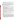- Ensure that EPA makes its decisions considering the interests and concerns of affected people and entities
- Promote the use of a wide variety of techniques to create early and, when appropriate, continuing opportunities for public involvement in Agency decisions
- Establish clear and effective guidance for conducting public involvement activities

Effective public involvement will make it easier for the public to contribute to the Agency's decisions, build public trust, and make it more likely that those who are most concerned with and affected by Agency decisions will accept and implement them. This policy supports EPA in meeting statutory and regulatory requirements regarding public participation, particularly in environmental permitting programs and enforcement activities.

EPA goals for public involvement processes are to:

- Foster a spirit of mutual trust, confidence, and openness between the Agency and the public
- Ensure that the public has timely, accessible and accurate information about EPA programs in a variety of formats so that people can better understand the implications of potential alternative courses of action
- Consult with interested or affected segments of the public and take public viewpoints into consideration when making decisions
- Learn from individuals and organizations representing various public sectors and the information they are uniquely able to provide (community values, concerns, practices, local norms, and relevant history, such as locations of past contaminant sources, potential impacts on small businesses or other sectors, industry conducted study results, etc.)
- Solicit assistance from the public in understanding potential consequences of technical issues, identifying alternatives for study, and selecting among the alternatives considered
- Keep the public informed about significant issues and changes in proposed programs or projects
- Foster, to the extent possible, equal and open access to the regulatory process for all interested and affected parties
- Understand the goals and concerns of the public, and respond to them
- Anticipate conflict and encourage early discussions of differences among affected parties
- Promote the public's involvement in the Agency's mission of protecting human health and the environment
- Explain to the public how its input affected the Agency's decision

To achieve these purposes and goals, while recognizing resource constraints, Agency officials should strive to provide for, encourage, and assist public involvement in the following ways:

- Involve the public early the public early and often throughout the decision-making process
- Identify, communicate with and listen to affected sectors of the public (Agency officials should plan and conduct public involvement activities that provide equal opportunity for individuals and groups to be heard. Where appropriate, Agency officials should give extra encouragement and consider providing assistance to sectors, such as minority and low-income populations, small businesses, and local governments, to ensure they have full opportunity to be heard and, where possible, access to technical or financial resources to support their participation.)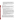- Involve members of the public in developing options and alternatives when possible and, before making decisions, seek the public's opinion on options or alternatives
- Use public input to develop options that facilitate resolution of differing points of view
- Make every effort to tailor public involvement programs to the complexity and potential for controversy of the issue, the segments of the public affected, the time frame for decision making and the desired outcome
- Develop and work in partnerships with state, local and tribal governments, community groups, associations, and other organizations to enhance and promote public involvement

# *When Does This Policy Apply?*

This Policy applies to all EPA programs and activities. In programs or activities where the public is already meaningfully involved, EPA can use this Policy to enhance that public involvement. Where the existing level of public involvement needs to improve, this Policy provides suggestions for how to move forward. Finally, this Policy can serve as a model for building public involvement into new programs as they are developed.

The activities where conducting meaningful public involvement should particularly be considered include:

- EPA rulemaking, when the regulations are expected to be classified as Significant Actions (under the terms of Executive Order 12866)
- EPA issuance or significant modification of permits, licenses or renewals
- Selection of plans for cleanup, remediation or restoration of hazardous waste sites or Brownfields properties
- EPA's decision on whether to authorize, delegate or approve states or local governments to administer EPA programs consistent with the relevant regulatory requirements for each program ( Note: Tribes seeking approval to administer environmental programs under EPA statutes generally also seek "treatment in a similar manner as a state (TAS)" status from EPA. Appropriate opportunities for public participation are contained in the relevant statutory and regulatory provisions establishing a TAS process. Consult with the Office of Regional Counsel or the Office of General Counsel, and/or the American Indian Environmental Office for assistance.)
- All other policy decisions that the Administrator, Deputy Administrator or appropriate Assistant, Regional or Associate Administrator determine warrant public participation in view of EPA's commitment to involve the public in important decisions
- The development of significant information products (as the Office of Environmental Information has defined them in Appendix 2: Definitions)
- For activities not listed here, EPA staff may use this Policy in whole or in part to strengthen decision making

In planning and conducting public involvement activities, Agency officials should rely on the sound use of discretion. The Policy is not a rule, is not legally enforceable, and does not confer legal rights or impose legal obligations upon any member of the public, EPA or any other agency. Resource constraints, the need for timely action and other considerations may affect the appropriate nature and extent of public involvement. For example, a compelling need for immediate action may make it appropriate to limit public involvement. In particular, the desire to reach agreement among all parties, while valuable, should not prevent the Agency from carrying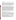out its responsibility to make decisions or take actions to preserve and protect the environment and public health.

Nevertheless, the Agency should approach all decision making with a bias in favor of significant and meaningful public involvement. Experience throughout government has shown that a lack of adequate participation or of effective means for participation can result in decisions that do not appropriately consider the interests or needs of those that will be most affected by them. Furthermore, early involvement can ultimately reduce delay, by avoiding time-consuming review, public debate or litigation. Finally, decisions based on meaningful public involvement are likely to be better in substance and stand the test of time, avoiding the need to reopen controversial issues.

#### *Does This Policy Affect Authorized***,** *Approved or Delegated Programs?*

EPA developed this Policy for EPA staff use, but it also may be useful to States, Tribes and local governments that implement federally delegated, authorized or approved programs. EPA encourages these entities to adopt similar public involvement policies if they have not already done so. EPA intends to discuss the effectiveness of their public involvement activities during periodic meetings with States, Tribes and local governments, and will obtain their input about ways to improve EPA's activities. EPA will not use whether a State, Tribe or local government has adopted EPA's Public Involvement Policy as a criterion for the authorization, approval or delegation of programs or the award of grants. In general, recipients may use grants for continuing environmental programs and Performance Partnership Grants to fund public involvement activities to the extent that costs are allowable under OMB Circular A-87 and applicable EPA regulations. (Note: Some statutory or regulatory provisions require compliance with certain public participation requirements before EPA may approve a grant. *See* 40 CFR 25.11 and 25.12.) The grant applicant may comply with such requirements without adopting EPA's Policy.

#### *What are the Roles of States, Tribes and Local Governments?*

State agencies, Tribes and some local governments have unique roles regarding EPA's programs and decisions:

1. State agencies, Tribes and some local governments may be co-regulators with EPA. In some cases, they implement authorized, approved or delegated Federal programs. In other cases, they run independent, but closely-related programs. In both cases they work closely with EPA as regulatory partners, and EPA will consult them as appropriate when implementing this Policy. In addition, they may have expertise that can be valuable to EPA in designing public involvement activities.

2. State agencies, Tribes and local governments also may be regulated parties when they undertake activities that are subject to Federal laws and regulations. As regulated parties, they are also members of the community of regulated stakeholders, and would benefit from the application of the Policy like other regulated parties.

3. Whether they are partners helping EPA implement a program or members of the regulated community affected by EPA regulations, state agencies, Tribes, and regional and local governments often play an active role in making recommendations on policies, rules, plans and recommendations under development, and providing input on EPA's decisions.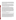The role of Tribes is unique in another way. Each federally-recognized Tribal government is a sovereign entity that has an individual government-to-government relationship with the federal government. EPA should coordinate and consult meaningfully with Tribes to the greatest extent practicable for agency actions that may affect the tribes. This Policy complements EPA's efforts to consult with Tribes. *See* Executive Order 13175, Consultation and Coordination With Indian Tribal Governments November 6, 2000.

Consultation should be a meaningful and timely two-way exchange with Tribal officials that provides for the open sharing of information, the full expression of Tribal and EPA views, a commitment to consider Tribal views in decision making, and respect of Tribal self-government and sovereignty. The Agency should allow comment from Tribes early in the planning process and prior to making a decision. However, consultation does not imply that the Tribes or any other non-EPA entities that are consulted can stop an Agency action by withholding consent.

#### *How Does the Policy Relate to Environmental Justice?*

This Policy complements and is consistent with EPA's environmental justice efforts. "Environmental Justice" is the fair treatment of people of all races, cultures, and incomes, including minority and/or low-income communities and Tribes, with respect to the development, implementation, and enforcement of environmental laws and policies, and their meaningful involvement in the decision-making processes of the government. Environmental justice is achieved when everyone, regardless of race, culture or income, enjoys the same degree of protection from environmental and health hazards and equal access to the decision-making process to have a healthy environment in which to live, learn and work. This includes ensuring greater public participation in the Agency's development and implementation of its regulations and policies. (Memorandum from EPA Administrator Christine Todd Whitman, dated August 9, 2001, "EPA's Commitment to Environmental Justice.") (*See* also, Executive Order 12898, "Federal Actions to Address Environmental Justice in Minority Populations and Low-Income Populations, dated February 11, 1994.) Thus, ensuring meaningful public involvement advances the goals of environmental justice.

#### **EPA's Seven Basic Steps for Effective Public Involvement**

The EPA should ensure that it conducts meaningful public involvement activities and implements all public involvement provisions required by statute.

There are seven basic steps to consider when planning for public involvement. Agency officials should exercise judgment and carefully consider the particular circumstances of each situation in determining how to carry out those steps. Agency staff and managers should strive to provide the most meaningful public involvement opportunities appropriate to each situation. Agency officials should consider the issues, locations, potential environmental and human health consequences of the activities, potential for controversy, specific needs of the public and the Agency, and other circumstances when designing public involvement processes. For instance, enhanced opportunities for public involvement should be created for those situations in which there is the potential for greater environmental or human health consequences or controversy. It is important to note that the Agency needs to set priorities for its use of resources, and that budgetary constraints may affect the implementation of any of these elements.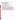The seven basic steps for effective public involvement in any decision or activity are:

- 1. Plan and budget for public involvement activities
- 2. Identify the interested and affected public
- 3. Consider providing technical or financial assistance to the public to facilitate involvement
- 4. Provide information and outreach to the public
- 5. Conduct public consultation and involvement activities
- 6. Review and use input and provide feedback to the public
- 7. Evaluate public involvement activities

The recommended goals, actions and methods for each of these steps are described in Appendix 1, Guidance for Implementing Public Involvement at EPA, at http://www.epa.gov/publicinvolvement/policy2003/guidance.pdf.

#### *Who is Responsible for Managing the Application of this Policy?*

Under the overall direction of the Administrator, and consistent with this policy, Assistant, Regional and Associate Administrators are responsible for ensuring that their managers and staff encourage and facilitate public involvement in programs and activities. Public involvement should be an integral part of any Agency program. Moreover, the Agency should strive to achieve public involvement that is commensurate with the potential impact of the activity. The Assistant, Regional or Associate Administrators should make certain that concerns about the adequacy of public involvement are heard and, where necessary, acted upon as resources allow. Managers should encourage and facilitate the proper training, support and counseling of staff, and, recognizing overall budgetary constraints, should plan for and provide adequate funding for training or other needs in their specific budgets. (*See* more detailed responsibilities section in Appendix 1 at http://www.epa.gov/publicinvolvement/policy2003/guidance.pdf.)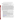## **Appendix 1 - Guidance for Implementing Public Involvement at EPA**

This guidance is to help EPA staff and managers in implementing the seven basic steps for effective public involvement outlined in the Agency's Public Involvement Policy.

1. Plan and budget for public involvement activities. Goal: To facilitate effective public involvement processes through advance planning, early notice to stakeholders, adequate time and resources, and evaluation.

a. **Actions**: When preparing budget and planning documents for regulatory and nonregulatory programs, Agency officials should provide: resources and staff time dedicated to public involvement activities; time for conducting and evaluating public involvement activities; and staff and resources to provide technical assistance to the involved public where appropriate (*See* the Policy's Step 3, "Consider providing technical or financial assistance to the public"). These activities may be included in planning documents such as regulatory development plans, analytic blueprints, program plans or EPA's plans for complying with the Government Performance and Results Act. Budget documents should include resources for public involvement separate from and in addition to funds required to comply with statutes and executive orders that require public involvement, such as the Unfunded Mandates Reform Act, the Regulatory Flexibility Act, Executive Order 13132 (Federalism), and Executive Order 13175 (Consultation and Coordination with Indian Tribal Governments). In addition, any planned activities should comply with the Paperwork Reduction Act (PRA) and the Federal Advisory Committee Act (FACA), as necessary. EPA staff should consult with the Office of General Counsel (OGC) or the Office of Regional Counsel (ORC) for information on these statutes.

Agency officials should include the following in such planning documents, as appropriate:

- Key decisions subject to public involvement, with their significant intermediate decision making points (for example, identifying issues, developing options, assessing impacts, evaluating and choosing options)
- Staff and budget for public involvement
- Objectives of public involvement in the project or decision, and the appropriate level of public involvement (For example, does the issue warrant information dissemination, interactive consultation or more collaborative approaches?)
- Segments of the public targeted for involvement and plans for identifying organizations and individuals, [Note: Plans involving collecting information from more than nine nonfederal parties may be subject to the PRA, which ensures that federal agencies' efforts to collect information do not unnecessarily burden the public. For advice on whether the PRA applies, staff should consult with the OGC as well as the Collection Strategies Division of the Office of Environmental Information, or their website http://intranet.epa.gov/icrintra]
- Opportunities that help participants gain an adequate understanding of relevant scientific, financial and technical information relevant to the decision
- Proposed schedule for public involvement activities that is consistent with the timing of the decision process
- Mechanisms to apply the seven basic steps -- Planning and Budgeting, Identification, Providing Assistance, Information and Outreach, Public Consultation and Involvement,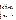Review and Feedback, and Evaluation -- set out above -- consistent with the proposed schedule

• Measures or methods to evaluate the effectiveness of public involvement

When identified in an approved grant work plan, grant funds may be used, subject to any statutory or regulatory limitations, to support reasonable costs of public involvement incurred by assisted agencies or organizations, including advisory group expenses.

2. Identify the interested and affected public.

Goal: To identify groups or members of the public who may have expressed an interest in or who by the nature of their location, purposes or activities, may be affected by an upcoming EPA activity or action.

a. Actions: For each program, activity or project EPA should develop a contact list, and add to the list those members of the public who request they be added. EPA should update each list frequently and strive to ensure lists include the full range of interested and affected parties. Lists will be most useful if subdivided by category of interest or geographic area. The nature and intensity of the involvement activities will drive the frequency of updating. EPA should use the contact lists to send announcements of involvement opportunities: notices of meetings, hearings, field trips, and other events; notices of available information, reports and documents; and to identify members of the public who may be considered for advisory group membership and other activities.

b. Methods: Staff can construct these lists of contacts using various methods, including, but not limited to the following:

- Participating in workshops, community meetings, public events, etc. to share information with potentially interested groups and individuals, and enable them to request additional information on the particular program, activity or project
- Providing a mailing list sign-up sheet at workshops, community meetings, public events, etc. (The sign-up sheet should include a prominent notice at the top of each page informing those who sign it of how the list will be used. Potential signers should be asked to specify whether they agree to allow the Agency to use their name and address for mailings regarding only a specific topic or for a wider variety of Agency issues.)
- Sharing mailing lists between different EPA program and regional offices if the individuals on the lists have provided the Agency permission to use their names and addresses for mailings on a wide range of EPA-related topics
- C Encouraging external organizations and agencies to publicize EPA activities
- Using questionnaires or surveys to find out levels of awareness and the need for tailored public education and outreach [Note: *see* section 1 above on the Paperwork Reduction **Actl**
- Including an EPA point of contact on EPA documents (fact sheets, public notices, sign-up sheets at meetings, etc.) so individuals may ask to be placed on lists
- Soliciting interest through notices in the Federal Register; trade and trade association publications; local print, radio, cable and television outlets; not-for-profit secular and religious publications; or through the Internet or other electronic means
- Asking those who attend events what, if any, interests are missing
- Using other comprehensive or creative means that consider the community structure, languages spoken, local communications preferences and the locations (such as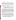libraries, churches, schools and other centers) where the community regularly congregates

EPA recognizes that efforts to assemble mailing lists can raise privacy concerns. The Agency is committed to protecting the privacy of individuals. Thus, it is Agency policy not ask individuals for their names and addresses for creating new mailing lists without explicit permission from those individuals or to use names and addresses collected for disseminating information about one specific topic for any unrelated purpose unless the individuals on the mailing list grant permission to do so.

EPA mailing lists should be organized by subject matter, program or other topic. EPA should not combine mailing lists to create profiles of specific individuals.

- 3. Consider providing technical or financial assistance to the public to facilitate involvement. Goals:
	- To improve public involvement opportunities through providing technical or financial assistance, when available and appropriate, to stakeholders, small local governments and members of the public.
	- To use such assistance to help build capacity to understand complex technical issues and enable people to participate substantively in EPA's decision-making processes.

a. Actions: EPA recognizes that many of its actions involve highly technical, complex issues. An understanding of the underlying science is a basic requirement for meaningful public involvement in the Agency's decision-making processes, but can require substantial commitments of time for study, research, analysis and discussion by the public. It is important for EPA to provide a sound understanding of the issues and options it is considering; EPA staff efforts and access to EPA materials often are sufficient. It is also important for the Agency to identify those situations where members of the affected public may not have the requisite knowledge or resources to participate directly or obtain expertise to engage in meaningful involvement. In such situations EPA may have the authority to take special measures such as providing technical or financial assistance to facilitate effective participation.

When such assistance is needed and available, EPA should announce its availability as early in the process as possible, and clearly describe the process and timing for accessing it.

b. Methods: There are numerous ways to assist members of the public and small local governments who lack the ability to participate in an effective or timely manner in Agency public consultation or involvement activities. The Agency can provide assistance through services that the interested public can use. Knowledgeable staff can help to determine which methods are most appropriate to the situation and meet applicable legal requirements. Methods may include:

- Access to Agency experts or contractors to obtain information and analyses as resources allow
- Access to technical personnel through grants to universities (for example, the Superfund Program's Technical Outreach Services to Communities project has provided independent university-based scientific and engineering expertise to 115 communities dealing with hazardous substance contamination questions)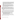- C Technical Assistance Grants (TAGs) under Section 117 of Comprehensive Environmental Response, Compensation and Liability Act (CERCLA) awarded to groups of individuals who may be affected by a release or a threatened release at Superfund sites to obtain assistance in interpreting and disseminating data and information related to site activities
- C Task-specific technical assistance to help stakeholders address issues either in project negotiation or implementation phases of regulatory flexibility projects
- C Collection and dissemination of information on outside sources of funding or technical assistance
- C Collaboration with nongovernmental organizations and other information brokers
- Provision of surplussed computer equipment to parties who need access to the Internet, following Agency requirements for this activity (under EPA's policy in response to Executive Order 12999 - Educational Technology Ensuring Opportunity for all Children in the Next Century that directs special attention be given to schools and nonprofit organizations, including community based educational organizations located in minority, low-income and underserved communities)

In some limited circumstances, direct financial assistance may be available for EPA partners, outside organizations and stakeholders. For example, depending on annual budget authorizations, and when EPA managers deem appropriate and essential for achieving program goals, EPA may sometimes have authority to provide funds to small local governments, outside organizations and stakeholders for public involvement activities associated with rules under development. In addition EPA should, in limited situations, consider providing financial support to stakeholders such as:

- Travel and per diem for stakeholders to provide information and advice directly to Agency officials
- C Compensation for meeting time spent as a member of a Federal Advisory Committee

However, funds for such purposes are generally very limited. When EPA does provide funding, the primary purpose must be consistent with the Federal Grant and Cooperative Agreement Act, and one or more of EPA's statutes must provide appropriate authority for the funded activities.

c. Considerations for funding public involvement: Applicable statutes and regulations generally specify criteria for providing financial assistance. Agency staff should also consider:

- Whether the proposed activity is allowable under applicable statutory authority
- The adequacy of the representation of involved interests
- The adequacy of the applicant's resources in relation to ability to participate
- The applicant's qualifications to accomplish the work
- The involvement of those with a direct stake in the local community in the activity
- The ability of the activity to further public involvement objectives and benefit the public

In general, the Agency should make special efforts to provide assistance to groups that may have fewer opportunities or insufficient resources to participate.

4. Provide information and outreach to the public.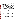Goals:

- To provide the public with access to accurate, understandable, pertinent and timely information to facilitate effective involvement in Agency decision-making processes
- To assist the public in understanding the reasons for Agency action, the legal framework for decision making and the significance of the related technical data so the public can provide meaningful comments.
- a. Actions: Whenever possible, Agency officials should:
- Provide the public with adequate and timely information concerning a forthcoming action or decision
- Provide policy, program, and technical information to the affected public and interested parties at the earliest practicable times, to enable those potentially affected or interested persons to make informed and constructive contributions to decision making
- Provide information at places easily accessible to interested and affected persons and organizations
- To the extent practicable, provide the public with integrated, on-line, user-friendly access to health and environmental data and information and to the extent practicable, enable communities, including minority, low-income and underserved populations, to have access to relevant data and information
- To the extent practicable, develop information and educational programs so all levels of government and the public have an opportunity to become familiar with the issues, technical data and relevant science behind the issues
- Provide informational materials that clearly identify the role of the public in the specific decisions to be made
- Summarize complex technical materials for the public
- Write information and outreach documents in plain language the public will easily understand
- Write engineering and technical documents as clearly and concisely as possible
- C Consider whether EPA should provide documents in languages in addition to English to reach the affected public or interested parties, consistent with Executive Order 13166 on "Improving Access to Services for Persons with Limited English Proficiency," signed August 11, 2000
- To the extent possible, maintain ongoing communication and outreach with the interested and involved public on particular EPA activities through periodic newsletters, list serves or other means
- Use EPA's existing public involvement manuals, which contain helpful advice for involving the public in specific EPA programs. (*See* these manuals at http://www.epa.gov/publicinvolvement/involvework.htm#manuals.)

b. Methods: Information and outreach programs require the use of appropriate communication tools, and should be tailored to accommodate the public's familiarity with the subject and means of access.

The following, among many other approaches, may be used:

Publications, fact sheets, technical summaries, bibliographies, resource guides, relevant supporting documents and other printed and electronic materials. (These materials may be made available through the mail, on the EPA web site, and at information repositories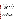such as EPA regional and field offices, federal depository libraries and local public libraries, and state/tribal/local agencies.)

- Videos and CD ROMs
- C Questionnaires, surveys, and interviews [Note: subject to the Paperwork Reduction Act, *see* Step 1 above]
- Public service announcements, articles and news releases through local newspapers, radio, and other media sources that reach the interested and affected public
- Educational publications, programs or activities
- Electronic communications such as Web pages, chat rooms, on-line dialogues, and list serves (Agency officials wishing to use web pages, on-line dialogues, and chat rooms should obtain approval from EPA management and consult with their information security officer.)
- Participation in conferences, workshops, meetings, community dialogues or local study groups
- Telephone communications such as hotlines, clearinghouses and toll-free comment lines
- Video conferences and satellite downlinks
- Participation at public events, such as fairs and festivals
- Tours of relevant sites and facilities

c. Content. Examples of outreach materials may include but are not limited to:

- Background information (for example, statutory basis, rationale, specific goal(s) of involvement activities or the triggering event of the action)
- A timetable of proposed actions
- Summaries of lengthy documents or technical material, if relevant
- An outline of issues and the interests that they may affect
- Alternative courses of action or tentative determinations the Agency may have made
- Information on whether an Environmental Impact Statement or Environmental Assessment is or will be, available
- Specific encouragement to stimulate active involvement by the public, including describing the nature of its influence, roles, and potential impact on the decisions
- The name and contact information (address, e-mail address, telephone and telefax numbers) to reach EPA staff for further information
- Information on the social, economic and environmental consequences of proposed decisions and alternatives prepared in connection with the proposed decision
- C Technical evidence and research methodology explained in nontechnical language
- C If available, a list of sources of technical assistance, advice and self-help manuals or other publications that could be helpful to the public

Fact sheets, news releases, summaries, and similar publications in print and on the Internet may be used to provide notice of availability of materials and to facilitate public understanding of more complex documents, but should not be a substitute for public access to the complete documents. When practicable, EPA should provide information in formats and locations that match the public's needs. Some documents (e.g., confidential business information) are not available for public review. Before releasing privileged documents or for advice on whether a particular document is privileged, staff and managers should consult with the ORC or OGC.

d. Notification. Responsible officials should make parties on the contact list and the media aware of the outreach materials available. The public should have adequate time and opportunity to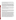receive and review the information before EPA conducts any additional public involvement activities. Notices should include information about the repository (address, hours of operation, etc.) or other information relating to access to all documents referred to in the notice, including the name of a contact person when appropriate.

e. Timing. To enable effective and meaningful public involvement, EPA should distribute outreach materials that make the public aware of the planned activity and that outline the issue(s) as early as such information is available. The more complex the issue and greater the potential for controversy or misunderstanding, the earlier the Agency should distribute the materials. When there is a formal public comment process, EPA should, whenever possible, notify stakeholders of the expected timing of that process to enable stakeholders to plan for participation and provide the most useful response. Furthermore, the comment period should not open until materials are available for the public to obtain and review. The Agency often makes EPA's materials available to the public by placing them in a public docket. Dockets are discussed in more detail below under "g. Repositories or dockets."

Statutes or rules often specify minimum public comment periods. Generally, the Agency should provide materials for public comment should as soon as they are available and should allow for at least 30 days for the public review and comment (or longer, as specified in program-specific requirements) or 45 days notice for public hearings.

Unless the applicable statute or regulation provides otherwise, the comment period for public review of unusually complex issues or lengthy documents generally should be no less than 60 days.

f. Fees for Copying: In responding to a request for records, the Agency will follow its regulations implementing the Freedom of Information Act ("FOIA") at 40 CFR Part 2. The Agency may waive the fees associated with a FOIA request, pursuant to the criteria listed at 40 CFR 2.107(l), if disclosure would contribute to public understanding of government operations and is not primarily in the commercial interest of the requester.

g. Repositories or Dockets: The Agency should provide one or more central collections of documents, reports, studies, plans, etc. relating to controversial issues or significant decisions in a location or locations convenient to the public. Suitable locations will depend on the nature of the action. For national rules a single central docket is generally appropriate, but local repositories may be preferable when decisions relate to individual facilities or sites. RCRA regulations authorize EPA to require hazardous waste treatment, storage or disposal facilities to set up and maintain a repository of information related to the RCRA site. (40 CFR §124.33) In all other instances, for actions at local facilities or sites, Agency officials should work with community representatives and the facility to determine the most accessible repository site(s) within the community. When choosing the site for a document repository, Agency officials should consider accessibility, travel time, parking, transit, and availability during off-work hours. Copying facilities should be available at repositories. Agency officials are encouraged to determine the accessibility to the interested public and feasibility of electronic repositories that take advantage of the Internet to reach directly into homes, libraries and other facilities throughout a community and across the nation. If the public has reasonably convenient, well-advertised electronic repositories, this can achieve significantly enhanced accessibility at a very modest cost.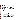At EPA, dockets serve as the repository for the collection of documents or information related to a particular agency action or activity. The docket generally consists of the documents specifically referenced in the related Federal Register document, any public comments received, and other information used by decision-makers or otherwise related to the Agency action or activity. Agencies most commonly use dockets for regulatory actions, but may also use dockets for various other nonrulemaking activities, such as Federal Register documents seeking public comments on draft guidance, policy statements, information collection requests under the Paperwork Reduction Act, and other nonrule activities.

EPA's EDOCKET is an online public docket and comment system initially designed to expand public access to documents in EPA's major program dockets, eventually to include the other EPA dockets. EDOCKET allows the public to search available dockets online, submit or view public comments, access the index listing of the contents of the docket, and to access, download and print those documents in the docket that are available electronically.

In August of 2002, EPA consolidated several of the Headquarters paper docket facilities into one, the EPA Docket Center. Through this Docket Center, EPA has improved the docket's internal workflow processes and has enhanced customer service and public access to information. This central facility for most EPA Headquarters dockets also offers the public both convenience and efficiency, enabling citizens to access multiple program dockets and conduct cross-docket searches from one location. The EPA Docket Center features a Public Reading Room with the following services: computers for the public to access EDOCKET, scanners, copiers, telephone lines and faxes. For more information about the EPA Docket Center or EPA's EDOCKET, go to http://www.epa.gov/epahome/dockets.htm.

- 5. Conduct public consultation and involvement activities.
	- Goals:
		- To understand the interests and needs of the affected public.
		- To provide for the exchange of information and views and open exploration of issues, alternatives and consequences between interested and affected members of the public and officials responsible for the forthcoming action or decision.

a. Actions: Agency officials should:

- Identify and select public consultation or involvement processes appropriate for the scope of the decision and the time and resources available
- When possible, consult or involve the affected public to ensure the approaches selected consider and, if appropriate, accommodate the potentially affected parties' needs, preferences, schedules and resources, as well as the Agency's needs
- Notify the public of potential consultation and involvement activities early enough to ensure the public has adequate time to obtain and evaluate information; consult experts, and formulate and express their opinions, options, and suggestions prior to Agency action
- For site-specific activities, start public involvement efforts early in the action and continue them, as appropriate, until completion of all work
- Conduct public consultation and involvement activities at times and places that, to the maximum extent feasible, facilitate attendance or involvement by the affected public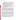- C Whenever possible, consider whether public meetings concerning local facilities or sites should be held during non-work hours, such as evenings or weekends, and at locations accessible via public transportation
- Provide guidance, resources, training, and professional assistance to Agency staff and interested delegated program partners, when feasible, to assist them in conducting or participating in public consultation and involvement activities in an effective and credible manner (This includes providing the technical, scientific, and background information in a manner that allows the involved public to understand the relevant science for the issues under discussion.)
- C Consider the appropriate use of third parties (neutral facilitators or mediators) in the development and implementation of programs, projects and activities
- Be knowledgeable of and comply with provisions of open meetings laws and regulations, such as the Federal Advisory Committee Act, as well as all information gathering requirements, such as the Paperwork Reduction Act
- Be knowledgeable of and comply with provisions of the Rehabilitation Act regarding appropriate accommodations for individuals who need special assistance in attending public hearings, meetings or other events

b. Methods: Consultation and involvement processes may take a variety of forms, depending on the issues to be addressed, the timing of the decision-making action, and the needs and resources of the interested and affected public. In all cases EPA should work to maximize the use of existing institutional resources as vehicles for consultation and involvement processes. The more than twenty EPA Federal Advisory Committees are such an institutional resource. EPA established each of them to provide advice on a different aspect of environmental policy or management. These committees are part of the Executive Branch decision-making process and include members who are scientists, public health officials, businessmen, private citizens, and officials at all levels of government. Approximately 1,400 citizens sit on FACA committees, bringing a variety of perspectives and expertise to the environmental consensus building process.

EPA staff can use a wide variety of public involvement methods. Step 4, "Provide information and outreach to the public," addresses predominantly one-way communications from EPA to the public. More direct involvement activities range from information exchange, in which EPA and the public share views, to more collaborative methods that result in stakeholder-defined recommendations or agreements. When starting public involvement for a particular decision, EPA staff should consider using a variety of methods within these broad categories as well as using combinations of outreach, information exchange and collaboration to more effectively involve the public in the decision-making process. Using a collaborative recommendation or agreement process or reaching consensus with the involved public is not required, necessary or practical in all decision-making processes.

General descriptions of public involvement methods follow, including their purposes, common examples, and key actions. The following list of public involvement methods is not exhaustive. Its variety demonstrates the need for program officials to be flexible and to obtain information that enables them to choose the appropriate techniques for each situation. EPA staff also should review the Agency's detailed public involvement manuals and guides when planning public involvement activities. (*See* Addendum 1 for a list of key resources.)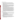1. Information exchange activities

Purposes:

- To enable the public and the Agency to share data, ideas, advice and concerns
- To allow EPA to obtain input from a wide range of interested and affected parties
- To compile a knowledge base of the public's various interests, ideas and needs, allowing the Agency to better understand and consider the issues related to a particular decision Common examples:
- Communication directed from the public to the Agency, as in public comment processes, public meetings or public hearings
- Interactive methods that provide participants with opportunities to discuss the issues and their input with the Agency through public meetings, listening sessions, workshops, availability sessions, open houses, interviews, focus groups or surveys, Internet-based dialogues and other methods (Note: Some of these types of exchange activities, including surveys and Internet dialogues, potentially are subject to provisions of the Paperwork Reduction Act and security and privacy constraints)
- Public hearings and public meetings

Public hearing and meetings provide an opportunity for formal or informal public involvement. EPA's statutes and/or regulations often require EPA to hold public hearings or meetings. EPA also may provide such opportunities on a voluntary basis. Unless other procedures are set out in the relevant statute or regulations, public meetings and hearings should follow the procedures set out in 40 CFR Part 25. The Agency should conduct public meetings and hearings objectively and should carefully consider the needs of the affected community and individual participants when planning these events. Though certain formalities should apply to all public hearings and meetings, procedures should not be so prescriptive as to discourage participation. When the subject of a public hearing, meeting or other information exchange process relates to conditions or facilities in a specific geographic area, EPA should hold the public hearing or meeting in that general geographic area. Public meetings and hearings should be part of an overall process that also gives the public more opportunities for becoming informed and involved.

# 2. Recommendation Processes

Purposes:

- To develop recommendations for EPA, generally through the collaboration of members of EPA-established advisory committees, but also through other means, including receiving recommendations from individuals
- To provide input into EPA's decision-making processes, especially when decisions are complex and/or have far-reaching effects
- To identify and analyze various options, recommend creative solutions and find common ground among competing points of view
- In addition to soliciting input from the general public, to obtain input from specific stakeholder groups who can provide valuable technical expertise, information or viewpoints that EPA should consider in order to create a sound decision

Common examples:

- C Committees established by EPA under the Federal Advisory Committee Act (FACA)
- External technical committees (such as those conducted by the American Society for Testing and Materials), and various technical advisory groups, citizens' advisory groups or panels that EPA does not establish, manage or control that may provide recommendations to the Agency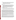Actions:

- The Agency may adopt the recommendations of a FACA committee, but is not bound to implement the committee's recommendations (*See* Appendix 4 for FACA requirements)
- As FACA requires, advisory committees must be balanced in the points of view represented for the function the committee is to provide
- EPA should include the affected community when appropriate

#### 3. Agreement processes

Purposes:

- To reach a mutually acceptable decision between EPA and selected stakeholder representatives, in a written agreement. In some cases, such agreements are not legally enforceable, but do represent a good faith commitment by EPA and the other parties.
- To develop creative and flexible solutions for particularly difficult or controversial issues through a process that includes direct participation by interested parties
- To reduce the time needed to reach a final decision, build support among various constituencies, facilitate early implementation, and reduce the threat of litigation

Common examples:

- Negotiated rulemaking committees
- Other negotiated or mediated agreements and Memoranda of Understanding Actions:
- EPA should seek to ensure that the selected participants have the relevant knowledge and resources to engage in agreement processes and provide a balanced and wide range of views
- C EPA should ensure that negotiated rulemaking committees meet all FACA requirements

Facilitation and Alternative Dispute Resolution (ADR) are tools the Agency may use to convene and conduct activities or to seek to resolve differences among various stakeholders during information exchange and collaborative processes. For ADR, EPA obtains the services of neutral, trained facilitators and mediators who manage discussions between the Agency and a set of well-defined stakeholders. ADR is most effective when there are a few highly involved and informed stakeholder groups who agree to participate in a dialogue through which they raise their concerns and seek to resolve a particular issue by consensus. The Agency can use facilitation and ADR processes to encourage conflict prevention or resolution at any time during a decisionmaking process. Additional information on this topic is available http:\\www.epa.gov/adr

c. Content: Agency officials should clearly identify the issues for discussion, negotiation or decision before and during a public involvement process, so participants understand on which issues they should comment. EPA officials should describe clearly the type of public involvement process planned, the schedule, EPA's expectations for the outcomes of the process and the timing and type of feedback that EPA will provide. If possible, EPA should involve the public in determining the design of the processes.

d. Notification: As early in the decision-making process as possible, the Agency should notify all parties on the appropriate contact lists and, when appropriate, the news media, of opportunities to participate and provide them with relevant information. In addition to legal notices and/or Federal Register Notices, Agency officials should use other outreach methods (as described in Step 3) to publicize public involvement opportunities. Notices should, at a minimum, give the time, date and location of the public involvement process, a general description of the topics or agenda, a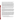contact person and contact information, and a general description of the nature of the process to be conducted, as well as the role of the public. Agency officials should consider the use of multilingual notices of upcoming activities and/or translator services, when appropriate.

e. Timing: Agency officials should provide early advance notice of public involvement processes so the public can obtain background information, formulate their needs and interests and obtain expert assistance, if necessary. Minimum time frames for notification of public hearings and public meetings will vary according to the applicable regulations and the complexity of the issue. For example, for actions subject to the public participation requirements of 40 CFR Part 25, the regulations require EPA to provide at least 45 days' notice before public hearings, but that time may be reduced to 30 days if there are no substantial documents to be reviewed and no complex or controversial matters to be addressed at the hearing (40 CFR § 25.5). If the issues are unusually complex or involve review of lengthy documents, this period generally should be at least 60 days. EPA may further reduce or waive the hearing notice requirement in an emergency situation in which EPA determines there is an imminent danger to public health (40 CFR § 25.5).

Regulations governing some other programs not covered by Part 25 have similar requirements. In programs that do not have a regulatory requirement to provide a hearing or meeting upon request, EPA staff should nonetheless consider such requests unless circumstances clearly necessitate urgent action.

When the Agency holds a formal public comment process, EPA officials should make the relevant materials available and accessible to the public at the beginning of the comment period. Minimum public comment periods often are specified in statutes or rules; however, generally EPA should allow at least 30 days for the public review and comment period (or longer, as specified in program-specific requirements or for complex issues or lengthy documents). Program-specific notice requirements should be followed. For example, CERCLA requires that, regardless of complexity, EPA allow the public 30 days to submit comments on proposed remedies and, upon a timely request, that EPA extend the public comment period by a minimum of at least 30 days (40 CFR § 300.430).

f. Summaries: The Federal Advisory Committee Act requires the preparation of detailed minutes of advisory committee meetings. [Appendix 4 summarizes basic information on the management of EPA advisory committees.] In addition, some statutes also require minutes of public meetings. Even when not required, Agency officials generally should make summaries of public hearings and public meetings available to participants and other interested parties. When appropriate and practicable, Agency officials should consider including additions or corrections that participants submit to the summary. In rulemaking proceedings, EPA should place in the docket a summary of significant new factual information concerning a proposed rule received during informal meetings or conversations with outside parties. In nonrulemaking situations, it may be helpful to document discussions that contribute information useful to decision making and make that information available to participants and interested parties.

- 6. Review and use input, and provide feedback to the public.
	- Goal: To consistently earn and retain the public's trust and credibility for EPA's actions and consultation processes by evaluating and assimilating public viewpoints and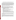preferences into final decisions, where appropriate and possible, and by communicating to the public the decisions made and how public input affected those decisions.

Gathering and using public viewpoints and preferences involves examining and analyzing public input in relation to scientific and other information relevant to the decision, considering if and how to incorporate that input into final program decisions and carefully considering public views when making or modifying decisions. For each decision, EPA officials should attempt to find a balance that enables the Agency to consider both relevant scientific and other information and expressed public values in determining how best to protect the public's health and the environment. The Agency should demonstrate, in its decisions and actions, that it has understood and fully considered public concerns. Finally, the Agency should communicate the decision to the public and discuss how the public's input influenced the final decision.

#### a. Actions:

1) Review and use the information: Agency officials should briefly and clearly document consideration of the public's views in responsiveness summaries, regulatory preambles, environmental impact statements or other appropriate documents. This should occur at key decision points. Unless inappropriate or otherwise required by law or regulations, each responsiveness summary (or similar document) should:

- Describe briefly the action that EPA initially proposed and why EPA determined such an action was needed
- Include a statement of the action that EPA took
- Explain briefly the public involvement activity that EPA conducted
- Identify generally those who participated and their affiliation (either individually or as groups
- Describe the matters on which EPA consulted with the public
- Summarize the public's views, important comments, criticisms and suggestions
- Explain the Agency's reason for the decision
- Indicate the effect the public's comments had on that action
- When feasible, provide the Agency's specific responses to each comment or group of comments; otherwise, discuss specific responses to significant issues raised in the comments. These responses should discuss how the comments resulted in modification of the proposed action or explain why the Agency did not accept proposals that the public made

(2) Provide feedback to the public: The Agency should provide feedback to participants and interested parties about the outcome of the public's involvement. Some statutes and regulations contain requirements for responding to comments EPA receives on actions such as rules, permits and cleanup plans.

The public can typically submit comments to EPA electronically, by mail, by facsimile or through hand delivery/courier. The Agency's preferred method for receiving comments is use of EPA's electronic public docket and comment system, EDOCKET, to submit comments to EPA electronically. EPA officials should encourage members of the public to use EDOCKET to submit comments, because it will facilitate quicker access to comments for both the public and EPA staff.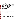In addition to carefully considering the public comments received, Agency officials traditionally include a summary of those comments with a summary of the Agency's responses to them, in the preamble of the Federal Register document or as a separate document available in the docket. This traditional method, however, does not always ensure that those who have participated in a decision-making process are made aware of or have access to, the Agency's feedback. Therefore, in addition to the minimum statutory or regulatory requirements, Agency staff should explore, and use whenever feasible, other feedback methods such as publishing the response on a website or publishing it or a notice of its availability in widely read publications. Where resources allow, EPA should mail or e-mail a copy of the response or information on how to easily obtain the response to those who participated in the public involvement processes, those who submitted comments and others on the contact list. The Agency can use press briefings and news releases where the number of commenters is so large that individual contact is not practical (for example, where mass mailings have been received in response to a proposed nationwide rule). In appropriate cases, direct feedback can be provided in public meetings; if so, the feedback should be documented (and care should be taken to avoid the appearance of reopening the decision process). Appropriate feedback techniques will vary greatly depending upon the circumstances, but the goal is to ensure that those who contributed significantly to the process receive a response that tells them how EPA used their input.

- 7. Evaluate public involvement activities.
	- Goal: To evaluate the effectiveness of this Policy and of public involvement activities.

a. Actions: Agency officials should evaluate and measure, on a continuing basis, both the effectiveness of the Policy to improve public involvement in regulatory and nonregulatory processes, and the effectiveness of public involvement activities.

b. Methods: Agency officials should routinely use surveys, interviews, focus groups and other tools to evaluate whether public involvement practices are performed appropriately and have the intended effects (subject to the Paperwork Reduction Act). Agency officials also should conduct periodic broad-based Agency-wide evaluations to determine whether implementing this Policy improves the quality of public involvement and environmental decisions.

#### *Who manages the application of this Policy?*

Responsibilities Relating to the Public Involvement Policy:

1. Administrator: Provides leadership and direction to EPA headquarters and regions for all EPA public involvement programs.

2. Assistant Administrators and Associate Administrators: Provide leadership and direction for their managers and staff by:

- Ensuring that effective public involvement is a cornerstone of all decisions, activities, plans and pilots, and fully complies with all applicable legal requirements
- Encouraging effective public involvement by providing their staff and managers guidance, technical assistance, resources, training and incentives, as appropriate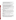- Encouraging broad-based stakeholder participation, including drawing on the expertise and networks available in the EPA offices responsible for public affairs and communications with state, local and tribal governments.
- As appropriate, providing guidance, assistance and resources to regions to conduct public involvement, and to the affected public to ensure its input
- Evaluating the effectiveness of public involvement processes and taking action to improve them

3. Regional Administrators: Provide leadership for their program managers and staff by:

- Ensuring that effective public involvement is a cornerstone of all decisions, activities, plans and pilots, and fully complies with all applicable legal requirements
- Encouraging effective public involvement by providing staff guidance, technical assistance, resources, training and incentives, as appropriate
- Encouraging broad-based stakeholder participation, including drawing on the expertise and networks available through their public and intergovernmental affairs offices, regional tribal assistance programs, and the Headquarters tribal office
- Evaluating the effectiveness of public involvement processes and taking action to improve them
- Working with authorized, approved or delegated program participants to improve public involvement on those programs and EPA activities
- As appropriate, providing technical or financial assistance to individuals or organizations to support effective public involvement.

4. Associate Administrator, Office of Public Affairs: Develops and supports Agency public involvement activities by:

- Assisting EPA headquarters and regional programs to identify interested and affected members of the public
- Supporting the headquarters and regional programs in developing, reviewing and distributing outreach materials to inform and educate the public about Agency programs, issues and public involvement opportunities, including specialized distribution to targeted audiences.
- C Encouraging, developing and supporting Agency strategic communications plans to include effective public awareness and public involvement activities

5. Associate Administrator, Office of Congressional and Intergovernmental Relations: Assists program offices by:

- Identifying state and local officials, both elected and appointed, to engage in public involvement activities
- Suggesting appropriate ways to reach these stakeholders

6. Associate Administrator, Office of Policy, Economics and Innovation: Assists headquarters and regional programs by:

- Providing tools and advice that lead to meaningful public involvement by supporting regulatory and nonregulatory actions, community based environmental protection work, efforts to involve small businesses and small communities, and work relating to smart growth, innovative voluntary programs, economic analysis and evaluation
- Providing tools to assist in implementing the Public Involvement Policy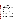7. Deputy Administrators, Deputy Regional Administrators, Office and Division Directors and other appropriate supervisors: Ensure that they adequately support and recognize the public involvement efforts of their staff.

#### *Responsibilities for Implementing Public Involvement*

#### **Headquarters and Regions:**

- Identify activities, plans and decisions where public involvement is appropriate
- Include adequate time and resources for effective public involvement in plans, activities and policies
- Help each other implement public involvement activities
- Implement the public involvement and public information portions of approved program plans
- C Evaluate the effectiveness and appropriateness of public involvement expenditures
- C Evaluate and improve the effectiveness of public involvement activities
- Encourage the coordination of public involvement activities
- C Consider funding demonstration projects that promote improved public involvement practices
- Provide technical assistance for EPA public involvement activities
- Provide public involvement funding, as appropriate and available, to appropriate outside interest groups and stakeholders in a manner that ensures efficient and cost effective public involvement process improvements
- Provide guidance, technical assistance and training, as appropriate, to support public involvement
- activities for authorized, approved and delegated programs of state, tribal and local governments
- Develop guidance and training to ensure that program office and regional staff and managers can perform public involvement activities effectively
- Provide incentives to Agency staff to ensure commitment to/competence in implementing public involvement
- C Ensure that applicable legal requirements associated with public involvement are adhered to, such as the Federal Advisory Committee Act, the Paperwork Reduction Act, the Freedom of Information Act, the Regulatory Flexibility Act and the Privacy Act

#### **Headquarters:**

- 1. Seek public involvement in decisions that modify or develop major national policies
- 2. Incorporate public involvement when amending regulations, where appropriate
- 3. Consult with OCIR to identify state and local officials, organizations and forums that may be appropriate for involvement in specific activities identified by this Policy
- 4. Consult with AIEO to identify appropriate ways to engage tribes where tribal people and lands may be affected

#### **Regions:**

5. Work closely with state, tribal and local governments to encourage, coordinate and improve public involvement activities in

#### **Appendix 2: Definitions**

"Affected parties," are stakeholders who are or may be impacted by EPA decisions.

"Alternative (means of) Dispute Resolution" is "any procedure that is used to resolve issues in controversy, including but not limited to conciliation, facilitation, mediation, fact finding, minitrials, arbitration, use of ombuds or any combination thereof." 5 U.S.C. 571(3)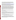"Fair treatment" as defined on EPA's environmental justice web page [http://www.epa.gov/ compliance/environmentaljustice/index.html], means that no group of people, including a racial, ethnic, or a socioeconomic group, should bear a disproportionate share of the negative environmental consequences resulting from industrial, municipal, and commercial operations or the execution of federal, state, local, and tribal programs and policies.

"Meaningful involvement" (*See* [http://www.epa.gov/compliance/environmentaljustice /index.html]) means that: (1) potentially affected community residents have an appropriate opportunity to participate in decisions about a proposed activity that will affect their environment and/or health; (2) the public's contribution can influence the regulatory agency's decision; (3) the concerns of all participants involved will be considered in the decision-making process; and (4) the decision makers seek out and facilitate the involvement of those potentially affected.

The term "the public" is used in the Policy in the broadest sense, meaning the general population of the United States. Many segments of "the public" may have a particular interest or may be affected by Agency programs and decisions. In addition to private individuals, "the public" includes, but is not limited to, representatives of consumer, environmental and other advocacy groups; environmental justice groups; indigenous peoples; minority and ethnic groups; business and industrial interests, including small businesses; elected and appointed public officials; the news media; trade, industrial, agricultural, and labor organizations; public health, scientific, and professional representatives and societies; civic and community associations; faith-based organizations; and research, university, education, and governmental organizations and associations.

A "Significant information product" uses national or regional data to describe environmental conditions, trends, and/or the performance of companies, facilities, and communities. (*See* http://www.epa.gov/ipbpages)

"Stakeholders" are representatives from organizations or interest groups who have a strong interest in the Agency's work and policies.

"Timely information" means distributing information sufficiently far in advance so the interested public has enough time to review relevant material, decide whether to become involved, and make plans for that involvement. Timely applies to the availability of background information on particular issues, as well as notification of public meetings, public comment periods or other critical involvement activities.

"Tribe" means an Indian or Alaska Native tribe, band, nation, pueblo, village or community that the Secretary of the Interior acknowledges to exist as an Indian tribe pursuant to the Federally Recognized Indian Tribe List Act of 1994 (25 U.S.C. 479a).

#### *Appendix 3: Examples of EPA's Public Involvement Regulations*

The following citations to EPA regulations are intended to provide examples of current EPA regulations that contain public involvement procedures for specific programs. This is not an exhaustive list, but it contains a good cross section of administrative regulations, procedures and decision process requirements for public involvement. Numerous EPA rules, regulations, policies and procedures contain such requirements.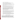- 40 CFR Part 2 Freedom of Information Act
- 40 CFR Part 6 Procedures for Implementing the Requirements of the Council on Environmental Quality of the National Environmental Policy Act
- 40 CFR Part 25 Public Participation in Programs under the Resource Conservation and Recovery Act, the Safe Drinking Water Act, and the Clean Water Act
- 40 CFR Part 51 Requirements for Preparation, Adoption, and Submittal of Implementation Plans (under the Clean Air Act)
- 40 CFR Part 124 Procedures for Decisionmaking (EPA procedures for issuing, modifying, revoking and reissuing or terminating all RCRA, UIC, PSD, and NPDES permits)
- 40 CFR Part 154- Special Review Procedures (procedures to assist the Agency in determining whether to initiate procedures to cancel, deny or reclassify registration of a pesticide product because uses of that product may cause unreasonable adverse effects on the environment)
- 40 CFR Part 164 Rules of Practice Governing Hearings, Under the Federal Insecticide, Fungicide, and Rodenticide Act, arising from Refusals to Register, Cancellations of Registrations, Changes of Classifications, Suspensions of Registrations and other Hearings Called Pursuant to Section 6 of the Act
- 40 CFR Part 173 Procedures Governing the Rescission of State Primary Enforcement Responsibility for Pesticide Use Violations
- 40 CFR Part 271 Requirements for Authorization of State Hazardous Waste Programs
- 40 CFR Part 300 National Oil and Hazardous Substances Pollution Contingency Plan, Subpart E - Hazardous Substance Response (establishes methods and criteria for determining the appropriate extent of response authorized by CERCLA and CWA section 311(c))
- 40 CFR Part 300 National Oil and Hazardous Substances Pollution Contingency Plan, Subpart I - Administrative Record for Selection of Response Action
- 40 CFR Part 790 Procedures Governing Testing Consent Agreements and Test Rules (Procedures for gathering information, conducting negotiations, and developing and implementing test rules or consent agreements on chemical substances under section 4 of the Toxic Substances Control)

### *Appendix 4: Advisory Committees*

When the Agency seeks to obtain advice or recommendations from a group that includes one or more individuals who are not federal government employees, the Agency should determine whether the Federal Advisory Committee Act (FACA), 5 U.S.C. App. 2, applies. If it does, meetings of the group must comply with FACA requirements. FACA requires, among other things, that such groups be chartered, have a balanced membership, hold open meetings and make written materials available to the public. EPA staff should consult with the Office of General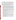Counsel or the Office of Regional Counsel to determine whether FACA applies, and with the Committee Management Officer in the Office of Cooperative Environmental Management (OCEM) for guidance on complying with the FACA requirements. OCEM's website provides useful information and guidance on FACA. ((http://www.epa.gov/ocem/committees.htm)

The primary function of an advisory group is to provide advice and recommendations to federal officials. Advisory groups also can provide a forum for addressing issues, promoting constructive dialogue among the various interests represented on the group, and enhancing community understanding of the Agency's action. FACA committees address a wide variety of issues, including policy development, project alternatives, financial assistance applications, work plans, major contracts, interagency agreements, and budget submissions.

A. Requirements for Federal EPA Advisory Committees: The FACA requirements include:

- Charter. EPA must develop a charter for each advisory committee, consult with GSA regarding the charter, and file it with Congress. The Charter must contain several specific elements, including the committee's official designation, the objectives and the scope of its activities, the period of time necessary for the committee to carry out its objectives, the agency or official to whom the committee reports, the agency responsible for providing the necessary support for the committee, and a description of the duties for which the committee is responsible. The charter must be renewed every two years. 5 U.S.C. App. 2, sec. 9.
- The Establishment Federal Register Notice. At least 15 calendar days before the charter for a new committee is filed with Congress, EPA must publish a notice of establishment in the Federal Register. This notice describes the nature and purpose of the committee, the agency's plan to attain fairly balanced membership, and a statement that the committee is necessary and in the public interest. 5 U.S.C. App. 2, sec. 9.
- Balanced Membership. Advisory committees must be"fairly balanced'' in the points of view represented. 5 U.S.C. App. 2, sec. 5.
- The Meeting Federal Register Notice. EPA must publish a notice in the Federal Register of each advisory committee meeting at least 15 calendar days prior to the meeting. 5 U.S.C. App.2, sec. 10.
- Open Meetings. Interested persons may attend any advisory committee meeting (unless the meeting is closed) and appear before and/or file written statements with any advisory committee. 5 U.S.C. App.2, sec.10.
- Minutes. Detailed minutes must be kept of all advisory committee meetings. 5 U.S.C. App.2, sec.10.
- DFO Attendance. A Designated Federal Official (DFO) must attend each advisory committee meeting and approve the agenda. The DFO must be a full-time federal employee. The DFO is authorized to adjourn meetings when it is in the public interest to do so. 5 U.S.C. App.2, sec.10.
- Closed Meetings. Meetings may be closed only in accordance with the exceptions set out in the Government in the Sunshine Act (5 U.S.C. 552b(c)). To close a meeting to the public, the DFO must obtain the approval of both the Administrator and the General Counsel. 5 U.S.C. App. 2, sec.
- Availability of Documents. Subject to the FOIA exemptions, all documents provided to or created by or prepared for an advisory committee must be provided to the public on request. 5 U.S.C. App. 2, sec. 10.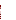In instances where regulations, program guidance or the public involvement plans of state or local agencies, call for advisory groups, such groups should follow applicable state and local laws.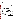The following addendum is not part of the Policy. It contains information that may be useful to EPA staff and the public.

#### *Addendum 1: Selected Tools to Support Public Involvement*

Community Culture and the Environment: A Guide to Understanding a Sense of Place (EPA 842- B-01-003, January 2003) http://www.epa.gov/ecocommunity/pdf/ccecomplete.pdf

Environmental Justice in EPA Permitting: Reducing Risk in High-Risk Communities is Integral with the Agency's Mission, National Academy of Public Administration, December, 2001 http://www.epa.gov/compliance/resources/publications/ej/napa-epa-permitting.pdf

RCRA Public Involvement Manual (EPA530-R-96-007, September 1996) http://www.epa.gov/epaoswer/hazwaste/permit/pubpart/manual.htm

Guide on Consultation and Collaboration with Indian Tribal Governments and the Public Participation of Indigenous Groups and Tribal Citizens, National Environmental Justice Advisory Committee, Indigenous Peoples Subcommittee, November, 2000 http://www.epa.gov/compliance/resources/publications/ej/ips consultation guide.pdf

How to Participate in EPA Decision-Making (63 FR 58038, October, 1998) Resource Guide for Resolving Conflicts in Communities (EPA/360-F-00-001, May 2001) http://www.epa.gov/adr/Resguide.pdf

Information Products Bulletin: *see* http://www.epa.gov/ipbpages

Libraries at EPA: *see* http://www.epa.gov/natlibra/libraries.htm

Model Plan for Public Participation (EPA/300-K-96-003, November 1996) http://www.epa.gov/compliance/resources/publications/ej/model\_public\_part\_plan.pdf

Office of Cooperative Environmental Management http://www.epa.gov/ocem

Public Involvement Web site: *see* http://www.epa.gov/publicinvolvement

Public Involvement in Environmental Permits: A Reference Guide (EPA599-R00-007, August 2000) http://www.epa.gov/permits/publicguide.htm

RCRA Public Involvement Manual (EPA 530-R-96-007, September 1996) http://www.epa.gov/epaoswer/hazwaste/permit/pubpart/manual.htm

Regulations and Proposed Rules Web site: *see* http://www.epa.gov/opei/regulatory.htm

Small Business Gateway Web site: *see* http://www.epa.gov/smallbusiness/

Social Aspects of Siting RCRA Hazardous Waste Facilities (EPA/530–K-00-005, April, 2000) www.epa.gov/epaoswer/hazwaste/tsds/site/k00005.pdf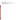Strategic Information Plan: A Framework for the Future (July 29, 2002): *see* http://www.epa.gov/oei/collecting.htm

Public Involvement Techniques for Transportation Decision-making, US Department of Transportation, Federal Highway Administration, Federal Transit Administration (FHWA-PD-96 -031HEP-30/9-96/(4M)QE, September 1996) http://www.fhwa.dot.gov//////reports/pittd/contents.htm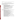# *Addendum 2: Summary of Response to Comments*

EPA received 202 public comments on the draft policy. Comments came from 26 state agencies, 12 local governments, 17 environmental organizations, 82 citizens, 5 industrial interests, 5 agricultural interests, and many others.

The most frequent comments request that EPA:

- Improve how it plans and conducts public meetings
- Clarify the roles of state and local governments in EPA's decisions and clarify how the policy affects state public involvement activities
- Ensure that public input influences EPA's decisions, and that EPA provides feedback to participants or commenters
- Use specific enhanced methods for conducting outreach to the public
- Affirm its commitment to early and meaningful public involvement
- Implement the policy and hold staff and managers accountable for public involvement
- Increase and improve its use of electronic communication methods
- Put more emphasis on evaluation
- Reference good EPA resources for staff and managers to use
- Relate public involvement to EPA's mission

EPA made many changes to the Policy and its presentation to accommodate the comments. The most significant changes were:

- Clarifying the roles of state, tribal and local governments
- Clearly stating the Policy applies only to EPA
- Expanding and clarifying Step 5 "Conduct public consultation and involvement activities" to include suggestions for when to use which techniques
- Adding a list of public involvement tools (Addendum 1)
- Adding a seventh step on Evaluation
- Expanding the section "Who is responsible for managing the application of this Policy?" to include additional officials and levels of authority
- Including a prominent statement of EPA's mission
- Stating the relationship of public involvement to environmental justice
- Including a summary of the Policy at the beginning
- Placing response to comments information in an addendum to the Policy
- Editing to maximize clarity and minimize redundancy
- Moving most definitions to an appendix
- Revising the Advisory Committees appendix to match the latest FACA revisions
- Eliminating most of the statutes, regulations and Executive Orders, and listing only the key statutes as an appendix
- Recognizing resource constraints in several places
- Adding information about those portions of the Privacy Act that relate to contact lists
- Adding information about the EDOCKET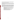The Policy has been modified to address these comments. The "Framework for Implementing EPA's Public Involvement Policy" and materials in development for distribution to staff and managers will also respond to many of the comments.

EPA's Response to Comments on the Draft 2000 Public Involvement Policy" is available on the Internet at http://www.epa.gov/publicinvolvement. Printed copies are also available by request to: USEPA/OPEI/OEPI Mail Code 1807T, Public Involvement Staff, 1200 Pennsylvania Avenue, NW, Washington, DC 20460.

The public input received through EPA's Internet-based "Dialogue on Public Involvement in EPA Decisions" helped to inform the Implementation Plan. EPA convened a 10-day Internet-based Dialogue in July 2001 through which 1,166 participants suggested how EPA could improve public involvement and identified areas of needed improvement. Many of the suggestions parallel the ideas expressed in formal public comments. (*See* Dialogue messages at http://www.networkdemocracy.org/epa-pip.) Participants suggested ways that EPA could improve in the following areas:

- Identifying members of the public who should be invited to participate
- < Providing technical and financial assistance to assist the public's participation
- < Effectively using collaborative processes (through advisory committees or other participatory practices)
- Evaluating EPA's public involvement activities and making EPA accountable
- Conducting effective public involvement for local site-specific decisions
- < Providing outreach to the public in effective ways
- Making necessary information and documents available to the public
- < Improving the public involvement process for permits and rules
- Working with states, tribes and local governments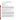#### **Published Federal Register material not duplicated in the Public Involvement Policy, its Appendices and Addenda**

#### **ENVIRONMENTAL PROTECTION AGENCY** 6560-50

**OA-2003-0005: FRL-7508-7**

**Public Involvement Policy**

**AGENCY**: Environmental Protection Agency (EPA)

**ACTION: Notice of New Public Involvement Policy** 

**SUMMARY**: The EPA is issuing its new Public Involvement Policy. The purpose of today's Notice is to advise the public and present the Policy. The new Policy provides guidance to EPA staff on effective and reasonable means to involve the public in EPA's regulatory and program implementation decisions. The core of the Policy is the recommended seven basic steps for effective public involvement, which the Agency should consider when making major decisions on rules, policies and program implementation activities. The Policy is directed internally, but EPA's partners in states, tribes or local governments may also find it to be a useful tool for them.

**FOR FURTHER INFORMATION CONTACT**: Patricia Bonner, Environmental Protection Agency, 1200 Pennsylvania Avenue, N.W. Washington, DC 20460-0001; 202-566-2204; bonner.patricia@epa.gov. For printed copies, telephone 202-566-2216.

**SUPPLEMENTARY INFORMATION**: How Can I Get Copies of This Document and Other Related Information?

1. *Docket.* EPA has established an official public docket for this action under docket identification (ID) number OA-2003-0005. The official public docket consists of the complete Public Involvement Policy with its appendices and addenda, public comments on the 1981 and draft 2000 Policy, the Agency's Response to Comments and the Framework for Implementing EPA's Public Involvement Policy. The official public docket is the collection of materials that is available for public viewing at the Office of Environmental Information Docket, EPA Docket Center, (EPA/DC) EPA West, Room B102, 1301 Constitution Ave., NW, Washington, DC. The EPA Docket Center Public Reading Room is open from 8:30 a.m. to 4:30 p.m., Monday through Friday, excluding legal holidays. The telephone number for the Reading Room is (202) 566-1744.

2. *Electronic Access.* You may access this Federal Register document electronically through the EPA Internet under the "Federal Register" listings at http://www.epa.gov/fedrgstr/ or use http://www.epa.gov/publicinvolvement to access the Policy and all its attachments. Electronic versions of items in the public docket are available through EPA's electronic public docket and comment system, EPA Dockets (EDOCKET). You may use EDOCKET at http://www.epa.gov/edocket/ to access the index listing of the contents of the official public docket and documents that are available electronically. Once in the system, select "search," then key in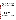the appropriate docket ID number. You may still access any of the publicly available docket materials through the EPA Docket Center.

# **BACKGROUND**

On January 19, 1981, the Environmental Protection Agency (EPA) published its first Agency-wide Public Participation Policy (46 FR 5736, Jan. 19, 1981). In November 1999, the EPA requested public comment on whether and how to change that Policy, and subsequently began a process to revise the policy and create a plan to implement it across the Agency. In December 2000, EPA released a draft revised Public Involvement Policy for public comment (65 FR 82335, Dec. 28, 2000). The comment period closed on July 31, 2001, following a two-week internet-based dialogue on "Public Involvement in EPA Decisions," which included 1,144 participants from all 50 states.

### **OVERVIEW OF EPA's NEW PUBLIC INVOLVEMENT POLICY**

The Policy's core elements are the following seven basic steps for effective public involvement:

- 1. Plan and budget for public involvement activities
- 2. Identify the interested and affected public
- 3. Consider providing technical or financial assistance to the public to facilitate involvement
- 4. Provide information and outreach to the public
- 5. Conduct public consultation and involvement activities
- 6. Review and use input, and provide feedback to the public
- 7. Evaluate public involvement activities

This Policy is meant to encourage development of new tools for public involvement and should not limit the degree or types of public involvement already in use at EPA. Agency guidance, which EPA is issuing simultaneously with this Policy, provides specific recommendations for accomplishing each of these seven steps, while also acknowledging the need for EPA officials to use discretion when planning and implementing public involvement activities.

The Policy reflects changes over the past 22 years such as:

- New and expanded public participation techniques
- New options for public involvement through the Internet
- EPA's emphasis on assuring compliance
- Increased use of partnerships and technical assistance
- Increased public access to information
- Increased capacity of States, Tribes and local governments to carry out delegated programs

The Policy also reflects EPA's experience with public involvement from the national to the local level, and incorporates many ideas provided to EPA through public comments on the draft Policy. Today's Notice is limited to this brief introduction and the core policy statement. Concurrent with this Notice, EPA is also issuing the following supporting documents to facilitate and promote support the Policy's implementation:

Appendix 1- "Guidance for Implementing Public Involvement at EPA" [http://www.epa.gov/publicinvolvement/policy2003/guidance.pdf.]